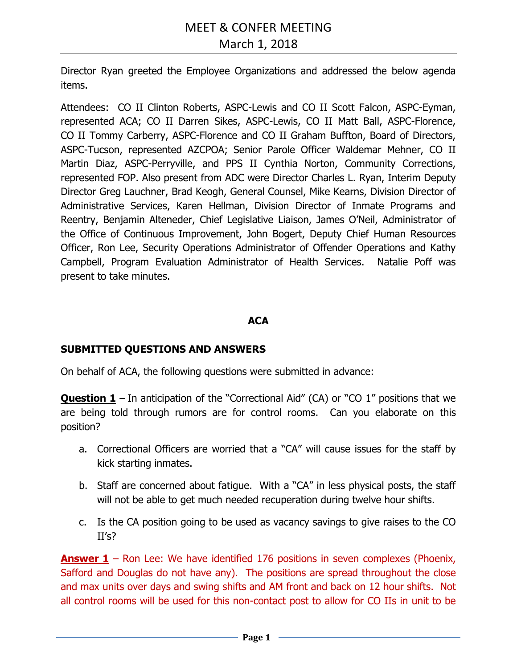Director Ryan greeted the Employee Organizations and addressed the below agenda items.

Attendees: CO II Clinton Roberts, ASPC-Lewis and CO II Scott Falcon, ASPC-Eyman, represented ACA; CO II Darren Sikes, ASPC-Lewis, CO II Matt Ball, ASPC-Florence, CO II Tommy Carberry, ASPC-Florence and CO II Graham Buffton, Board of Directors, ASPC-Tucson, represented AZCPOA; Senior Parole Officer Waldemar Mehner, CO II Martin Diaz, ASPC-Perryville, and PPS II Cynthia Norton, Community Corrections, represented FOP. Also present from ADC were Director Charles L. Ryan, Interim Deputy Director Greg Lauchner, Brad Keogh, General Counsel, Mike Kearns, Division Director of Administrative Services, Karen Hellman, Division Director of Inmate Programs and Reentry, Benjamin Alteneder, Chief Legislative Liaison, James O'Neil, Administrator of the Office of Continuous Improvement, John Bogert, Deputy Chief Human Resources Officer, Ron Lee, Security Operations Administrator of Offender Operations and Kathy Campbell, Program Evaluation Administrator of Health Services. Natalie Poff was present to take minutes.

### **ACA**

### **SUBMITTED QUESTIONS AND ANSWERS**

On behalf of ACA, the following questions were submitted in advance:

**Question 1** – In anticipation of the "Correctional Aid" (CA) or "CO 1" positions that we are being told through rumors are for control rooms. Can you elaborate on this position?

- a. Correctional Officers are worried that a "CA" will cause issues for the staff by kick starting inmates.
- b. Staff are concerned about fatigue. With a "CA" in less physical posts, the staff will not be able to get much needed recuperation during twelve hour shifts.
- c. Is the CA position going to be used as vacancy savings to give raises to the CO II's?

**Answer 1** – Ron Lee: We have identified 176 positions in seven complexes (Phoenix, Safford and Douglas do not have any). The positions are spread throughout the close and max units over days and swing shifts and AM front and back on 12 hour shifts. Not all control rooms will be used for this non-contact post to allow for CO IIs in unit to be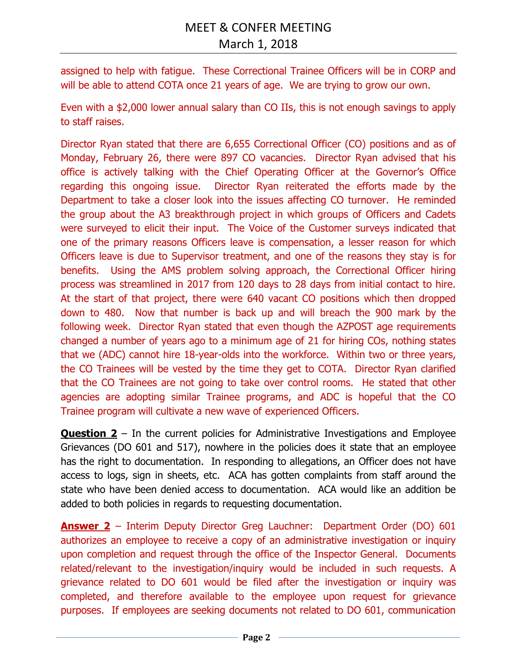assigned to help with fatigue. These Correctional Trainee Officers will be in CORP and will be able to attend COTA once 21 years of age. We are trying to grow our own.

Even with a \$2,000 lower annual salary than CO IIs, this is not enough savings to apply to staff raises.

Director Ryan stated that there are 6,655 Correctional Officer (CO) positions and as of Monday, February 26, there were 897 CO vacancies. Director Ryan advised that his office is actively talking with the Chief Operating Officer at the Governor's Office regarding this ongoing issue. Director Ryan reiterated the efforts made by the Department to take a closer look into the issues affecting CO turnover. He reminded the group about the A3 breakthrough project in which groups of Officers and Cadets were surveyed to elicit their input. The Voice of the Customer surveys indicated that one of the primary reasons Officers leave is compensation, a lesser reason for which Officers leave is due to Supervisor treatment, and one of the reasons they stay is for benefits. Using the AMS problem solving approach, the Correctional Officer hiring process was streamlined in 2017 from 120 days to 28 days from initial contact to hire. At the start of that project, there were 640 vacant CO positions which then dropped down to 480. Now that number is back up and will breach the 900 mark by the following week. Director Ryan stated that even though the AZPOST age requirements changed a number of years ago to a minimum age of 21 for hiring COs, nothing states that we (ADC) cannot hire 18-year-olds into the workforce. Within two or three years, the CO Trainees will be vested by the time they get to COTA. Director Ryan clarified that the CO Trainees are not going to take over control rooms. He stated that other agencies are adopting similar Trainee programs, and ADC is hopeful that the CO Trainee program will cultivate a new wave of experienced Officers.

**Question 2** – In the current policies for Administrative Investigations and Employee Grievances (DO 601 and 517), nowhere in the policies does it state that an employee has the right to documentation. In responding to allegations, an Officer does not have access to logs, sign in sheets, etc. ACA has gotten complaints from staff around the state who have been denied access to documentation. ACA would like an addition be added to both policies in regards to requesting documentation.

**Answer 2** – Interim Deputy Director Greg Lauchner: Department Order (DO) 601 authorizes an employee to receive a copy of an administrative investigation or inquiry upon completion and request through the office of the Inspector General. Documents related/relevant to the investigation/inquiry would be included in such requests. A grievance related to DO 601 would be filed after the investigation or inquiry was completed, and therefore available to the employee upon request for grievance purposes. If employees are seeking documents not related to DO 601, communication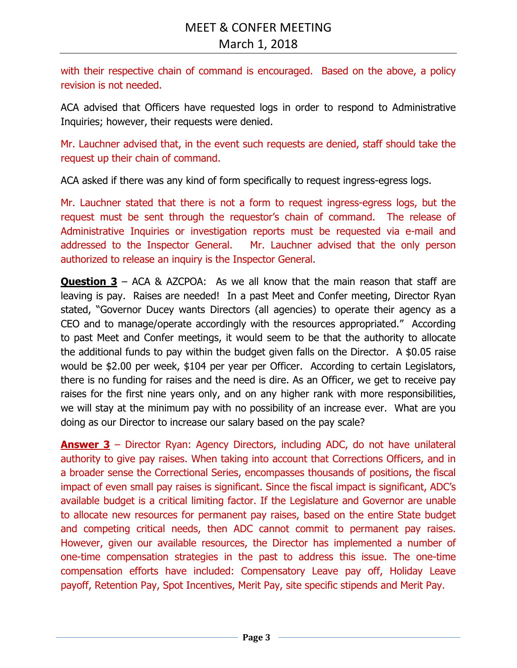with their respective chain of command is encouraged. Based on the above, a policy revision is not needed.

ACA advised that Officers have requested logs in order to respond to Administrative Inquiries; however, their requests were denied.

Mr. Lauchner advised that, in the event such requests are denied, staff should take the request up their chain of command.

ACA asked if there was any kind of form specifically to request ingress-egress logs.

Mr. Lauchner stated that there is not a form to request ingress-egress logs, but the request must be sent through the requestor's chain of command. The release of Administrative Inquiries or investigation reports must be requested via e-mail and addressed to the Inspector General. Mr. Lauchner advised that the only person authorized to release an inquiry is the Inspector General.

**Question 3** – ACA & AZCPOA: As we all know that the main reason that staff are leaving is pay. Raises are needed! In a past Meet and Confer meeting, Director Ryan stated, "Governor Ducey wants Directors (all agencies) to operate their agency as a CEO and to manage/operate accordingly with the resources appropriated." According to past Meet and Confer meetings, it would seem to be that the authority to allocate the additional funds to pay within the budget given falls on the Director. A \$0.05 raise would be \$2.00 per week, \$104 per year per Officer. According to certain Legislators, there is no funding for raises and the need is dire. As an Officer, we get to receive pay raises for the first nine years only, and on any higher rank with more responsibilities, we will stay at the minimum pay with no possibility of an increase ever. What are you doing as our Director to increase our salary based on the pay scale?

**Answer 3** – Director Ryan: Agency Directors, including ADC, do not have unilateral authority to give pay raises. When taking into account that Corrections Officers, and in a broader sense the Correctional Series, encompasses thousands of positions, the fiscal impact of even small pay raises is significant. Since the fiscal impact is significant, ADC's available budget is a critical limiting factor. If the Legislature and Governor are unable to allocate new resources for permanent pay raises, based on the entire State budget and competing critical needs, then ADC cannot commit to permanent pay raises. However, given our available resources, the Director has implemented a number of one-time compensation strategies in the past to address this issue. The one-time compensation efforts have included: Compensatory Leave pay off, Holiday Leave payoff, Retention Pay, Spot Incentives, Merit Pay, site specific stipends and Merit Pay.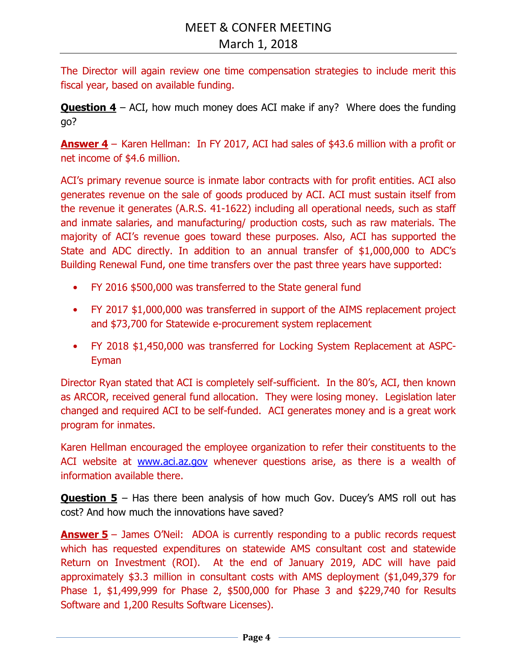The Director will again review one time compensation strategies to include merit this fiscal year, based on available funding.

**Question 4** – ACI, how much money does ACI make if any? Where does the funding go?

**Answer 4** – Karen Hellman: In FY 2017, ACI had sales of \$43.6 million with a profit or net income of \$4.6 million.

ACI's primary revenue source is inmate labor contracts with for profit entities. ACI also generates revenue on the sale of goods produced by ACI. ACI must sustain itself from the revenue it generates (A.R.S. 41-1622) including all operational needs, such as staff and inmate salaries, and manufacturing/ production costs, such as raw materials. The majority of ACI's revenue goes toward these purposes. Also, ACI has supported the State and ADC directly. In addition to an annual transfer of \$1,000,000 to ADC's Building Renewal Fund, one time transfers over the past three years have supported:

- FY 2016 \$500,000 was transferred to the State general fund
- FY 2017 \$1,000,000 was transferred in support of the AIMS replacement project and \$73,700 for Statewide e-procurement system replacement
- FY 2018 \$1,450,000 was transferred for Locking System Replacement at ASPC-Eyman

Director Ryan stated that ACI is completely self-sufficient. In the 80's, ACI, then known as ARCOR, received general fund allocation. They were losing money. Legislation later changed and required ACI to be self-funded. ACI generates money and is a great work program for inmates.

Karen Hellman encouraged the employee organization to refer their constituents to the ACI website at www.aci.az.gov whenever questions arise, as there is a wealth of information available there.

**Question 5** – Has there been analysis of how much Gov. Ducey's AMS roll out has cost? And how much the innovations have saved?

**Answer 5** – James O'Neil: ADOA is currently responding to a public records request which has requested expenditures on statewide AMS consultant cost and statewide Return on Investment (ROI). At the end of January 2019, ADC will have paid approximately \$3.3 million in consultant costs with AMS deployment (\$1,049,379 for Phase 1, \$1,499,999 for Phase 2, \$500,000 for Phase 3 and \$229,740 for Results Software and 1,200 Results Software Licenses).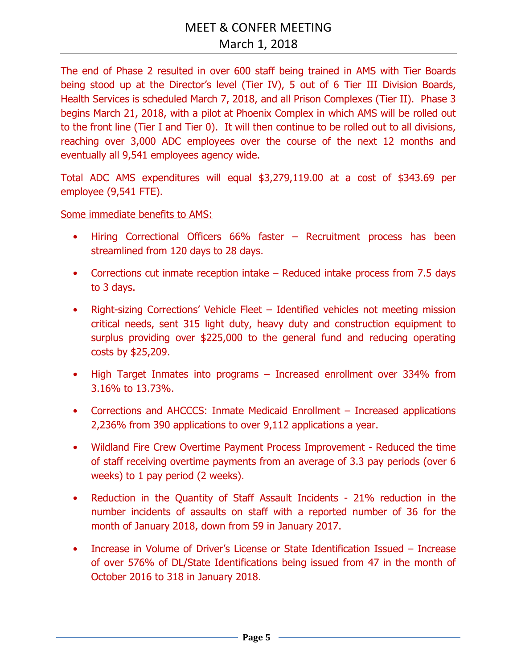The end of Phase 2 resulted in over 600 staff being trained in AMS with Tier Boards being stood up at the Director's level (Tier IV), 5 out of 6 Tier III Division Boards, Health Services is scheduled March 7, 2018, and all Prison Complexes (Tier II). Phase 3 begins March 21, 2018, with a pilot at Phoenix Complex in which AMS will be rolled out to the front line (Tier I and Tier 0). It will then continue to be rolled out to all divisions, reaching over 3,000 ADC employees over the course of the next 12 months and eventually all 9,541 employees agency wide.

Total ADC AMS expenditures will equal \$3,279,119.00 at a cost of \$343.69 per employee (9,541 FTE).

Some immediate benefits to AMS:

- Hiring Correctional Officers 66% faster Recruitment process has been streamlined from 120 days to 28 days.
- Corrections cut inmate reception intake Reduced intake process from 7.5 days to 3 days.
- Right-sizing Corrections' Vehicle Fleet Identified vehicles not meeting mission critical needs, sent 315 light duty, heavy duty and construction equipment to surplus providing over \$225,000 to the general fund and reducing operating costs by \$25,209.
- High Target Inmates into programs Increased enrollment over 334% from 3.16% to 13.73%.
- Corrections and AHCCCS: Inmate Medicaid Enrollment Increased applications 2,236% from 390 applications to over 9,112 applications a year.
- Wildland Fire Crew Overtime Payment Process Improvement Reduced the time of staff receiving overtime payments from an average of 3.3 pay periods (over 6 weeks) to 1 pay period (2 weeks).
- Reduction in the Quantity of Staff Assault Incidents 21% reduction in the number incidents of assaults on staff with a reported number of 36 for the month of January 2018, down from 59 in January 2017.
- Increase in Volume of Driver's License or State Identification Issued Increase of over 576% of DL/State Identifications being issued from 47 in the month of October 2016 to 318 in January 2018.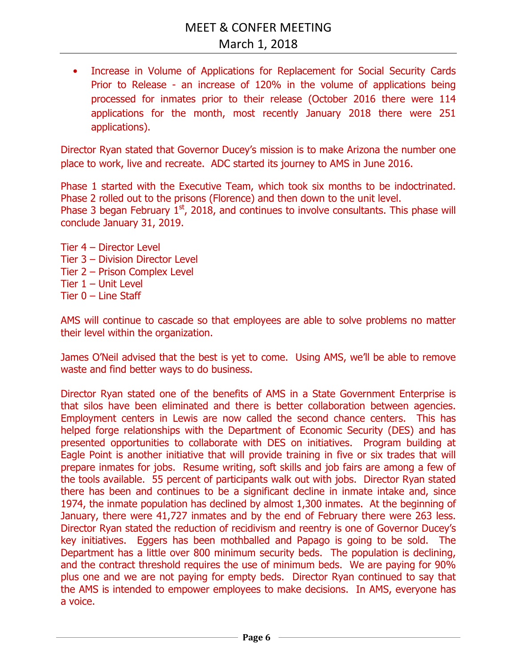• Increase in Volume of Applications for Replacement for Social Security Cards Prior to Release - an increase of 120% in the volume of applications being processed for inmates prior to their release (October 2016 there were 114 applications for the month, most recently January 2018 there were 251 applications).

Director Ryan stated that Governor Ducey's mission is to make Arizona the number one place to work, live and recreate. ADC started its journey to AMS in June 2016.

Phase 1 started with the Executive Team, which took six months to be indoctrinated. Phase 2 rolled out to the prisons (Florence) and then down to the unit level. Phase 3 began February  $1<sup>st</sup>$ , 2018, and continues to involve consultants. This phase will conclude January 31, 2019.

Tier 4 – Director Level Tier 3 – Division Director Level Tier 2 – Prison Complex Level Tier 1 – Unit Level Tier 0 – Line Staff

AMS will continue to cascade so that employees are able to solve problems no matter their level within the organization.

James O'Neil advised that the best is yet to come. Using AMS, we'll be able to remove waste and find better ways to do business.

Director Ryan stated one of the benefits of AMS in a State Government Enterprise is that silos have been eliminated and there is better collaboration between agencies. Employment centers in Lewis are now called the second chance centers. This has helped forge relationships with the Department of Economic Security (DES) and has presented opportunities to collaborate with DES on initiatives. Program building at Eagle Point is another initiative that will provide training in five or six trades that will prepare inmates for jobs. Resume writing, soft skills and job fairs are among a few of the tools available. 55 percent of participants walk out with jobs. Director Ryan stated there has been and continues to be a significant decline in inmate intake and, since 1974, the inmate population has declined by almost 1,300 inmates. At the beginning of January, there were 41,727 inmates and by the end of February there were 263 less. Director Ryan stated the reduction of recidivism and reentry is one of Governor Ducey's key initiatives. Eggers has been mothballed and Papago is going to be sold. The Department has a little over 800 minimum security beds. The population is declining, and the contract threshold requires the use of minimum beds. We are paying for 90% plus one and we are not paying for empty beds. Director Ryan continued to say that the AMS is intended to empower employees to make decisions. In AMS, everyone has a voice.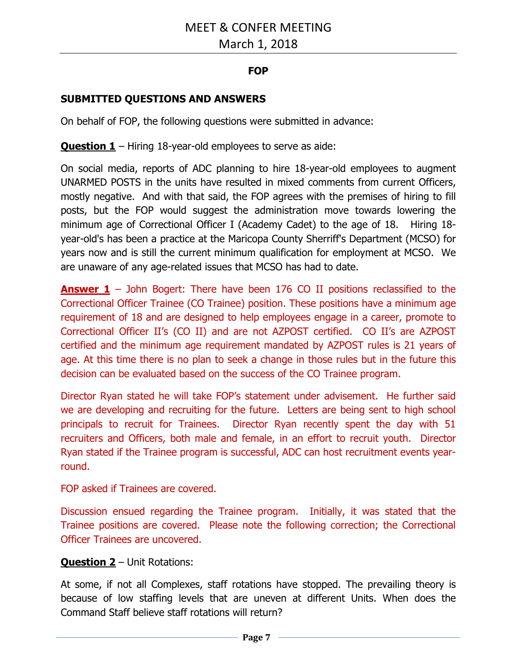# **FOP**

# **SUBMITTED QUESTIONS AND ANSWERS**

On behalf of FOP, the following questions were submitted in advance:

**Question 1** – Hiring 18-year-old employees to serve as aide:

On social media, reports of ADC planning to hire 18-year-old employees to augment UNARMED POSTS in the units have resulted in mixed comments from current Officers, mostly negative. And with that said, the FOP agrees with the premises of hiring to fill posts, but the FOP would suggest the administration move towards lowering the minimum age of Correctional Officer I (Academy Cadet) to the age of 18. Hiring 18 year-old's has been a practice at the Maricopa County Sherriff's Department (MCSO) for years now and is still the current minimum qualification for employment at MCSO. We are unaware of any age-related issues that MCSO has had to date.

**Answer 1** – John Bogert: There have been 176 CO II positions reclassified to the Correctional Officer Trainee (CO Trainee) position. These positions have a minimum age requirement of 18 and are designed to help employees engage in a career, promote to Correctional Officer II's (CO II) and are not AZPOST certified. CO II's are AZPOST certified and the minimum age requirement mandated by AZPOST rules is 21 years of age. At this time there is no plan to seek a change in those rules but in the future this decision can be evaluated based on the success of the CO Trainee program.

Director Ryan stated he will take FOP's statement under advisement. He further said we are developing and recruiting for the future. Letters are being sent to high school principals to recruit for Trainees. Director Ryan recently spent the day with 51 recruiters and Officers, both male and female, in an effort to recruit youth. Director Ryan stated if the Trainee program is successful, ADC can host recruitment events yearround.

FOP asked if Trainees are covered.

Discussion ensued regarding the Trainee program. Initially, it was stated that the Trainee positions are covered. Please note the following correction; the Correctional Officer Trainees are uncovered.

# **Question 2** – Unit Rotations:

At some, if not all Complexes, staff rotations have stopped. The prevailing theory is because of low staffing levels that are uneven at different Units. When does the Command Staff believe staff rotations will return?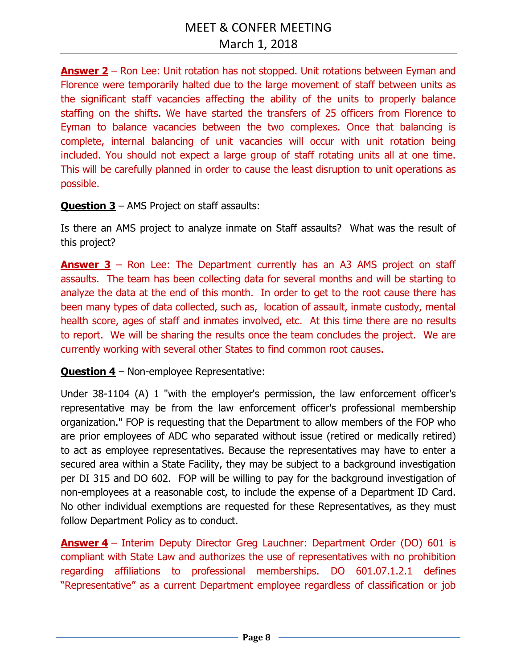**Answer 2** – Ron Lee: Unit rotation has not stopped. Unit rotations between Eyman and Florence were temporarily halted due to the large movement of staff between units as the significant staff vacancies affecting the ability of the units to properly balance staffing on the shifts. We have started the transfers of 25 officers from Florence to Eyman to balance vacancies between the two complexes. Once that balancing is complete, internal balancing of unit vacancies will occur with unit rotation being included. You should not expect a large group of staff rotating units all at one time. This will be carefully planned in order to cause the least disruption to unit operations as possible.

## **Question 3** – AMS Project on staff assaults:

Is there an AMS project to analyze inmate on Staff assaults? What was the result of this project?

**Answer 3** – Ron Lee: The Department currently has an A3 AMS project on staff assaults. The team has been collecting data for several months and will be starting to analyze the data at the end of this month. In order to get to the root cause there has been many types of data collected, such as, location of assault, inmate custody, mental health score, ages of staff and inmates involved, etc. At this time there are no results to report. We will be sharing the results once the team concludes the project. We are currently working with several other States to find common root causes.

**Question 4** – Non-employee Representative:

Under 38-1104 (A) 1 "with the employer's permission, the law enforcement officer's representative may be from the law enforcement officer's professional membership organization." FOP is requesting that the Department to allow members of the FOP who are prior employees of ADC who separated without issue (retired or medically retired) to act as employee representatives. Because the representatives may have to enter a secured area within a State Facility, they may be subject to a background investigation per DI 315 and DO 602. FOP will be willing to pay for the background investigation of non-employees at a reasonable cost, to include the expense of a Department ID Card. No other individual exemptions are requested for these Representatives, as they must follow Department Policy as to conduct.

**Answer 4** – Interim Deputy Director Greg Lauchner: Department Order (DO) 601 is compliant with State Law and authorizes the use of representatives with no prohibition regarding affiliations to professional memberships. DO 601.07.1.2.1 defines "Representative" as a current Department employee regardless of classification or job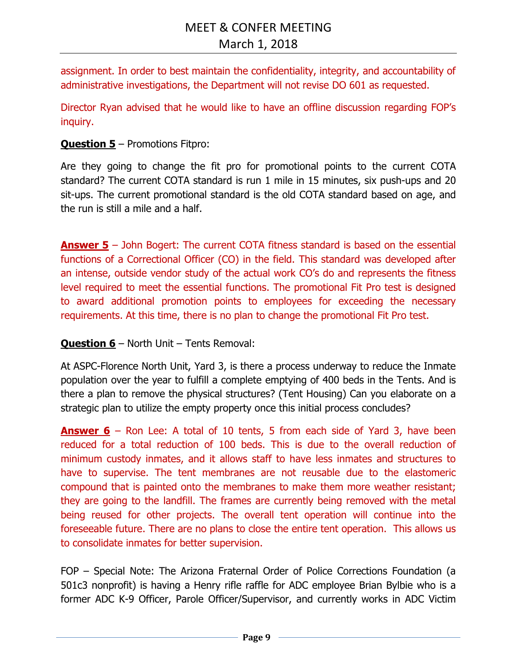assignment. In order to best maintain the confidentiality, integrity, and accountability of administrative investigations, the Department will not revise DO 601 as requested.

Director Ryan advised that he would like to have an offline discussion regarding FOP's inquiry.

# **Question 5** – Promotions Fitpro:

Are they going to change the fit pro for promotional points to the current COTA standard? The current COTA standard is run 1 mile in 15 minutes, six push-ups and 20 sit-ups. The current promotional standard is the old COTA standard based on age, and the run is still a mile and a half.

**Answer 5** – John Bogert: The current COTA fitness standard is based on the essential functions of a Correctional Officer (CO) in the field. This standard was developed after an intense, outside vendor study of the actual work CO's do and represents the fitness level required to meet the essential functions. The promotional Fit Pro test is designed to award additional promotion points to employees for exceeding the necessary requirements. At this time, there is no plan to change the promotional Fit Pro test.

### **Question 6** – North Unit – Tents Removal:

At ASPC-Florence North Unit, Yard 3, is there a process underway to reduce the Inmate population over the year to fulfill a complete emptying of 400 beds in the Tents. And is there a plan to remove the physical structures? (Tent Housing) Can you elaborate on a strategic plan to utilize the empty property once this initial process concludes?

**Answer 6** – Ron Lee: A total of 10 tents, 5 from each side of Yard 3, have been reduced for a total reduction of 100 beds. This is due to the overall reduction of minimum custody inmates, and it allows staff to have less inmates and structures to have to supervise. The tent membranes are not reusable due to the elastomeric compound that is painted onto the membranes to make them more weather resistant; they are going to the landfill. The frames are currently being removed with the metal being reused for other projects. The overall tent operation will continue into the foreseeable future. There are no plans to close the entire tent operation. This allows us to consolidate inmates for better supervision.

FOP – Special Note: The Arizona Fraternal Order of Police Corrections Foundation (a 501c3 nonprofit) is having a Henry rifle raffle for ADC employee Brian Bylbie who is a former ADC K-9 Officer, Parole Officer/Supervisor, and currently works in ADC Victim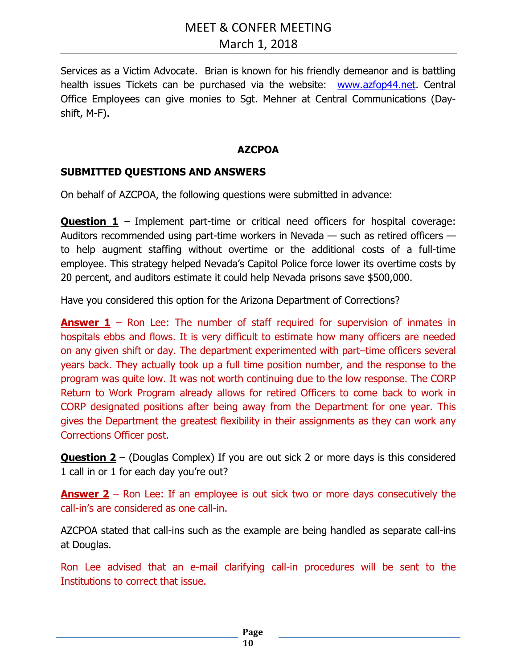Services as a Victim Advocate. Brian is known for his friendly demeanor and is battling health issues Tickets can be purchased via the website: www.azfop44.net. Central Office Employees can give monies to Sgt. Mehner at Central Communications (Dayshift, M-F).

### **AZCPOA**

### **SUBMITTED QUESTIONS AND ANSWERS**

On behalf of AZCPOA, the following questions were submitted in advance:

**Question 1** – Implement part-time or critical need officers for hospital coverage: Auditors recommended using part-time workers in Nevada — such as retired officers to help augment staffing without overtime or the additional costs of a full-time employee. This strategy helped Nevada's Capitol Police force lower its overtime costs by 20 percent, and auditors estimate it could help Nevada prisons save \$500,000.

Have you considered this option for the Arizona Department of Corrections?

**Answer 1** – Ron Lee: The number of staff required for supervision of inmates in hospitals ebbs and flows. It is very difficult to estimate how many officers are needed on any given shift or day. The department experimented with part–time officers several years back. They actually took up a full time position number, and the response to the program was quite low. It was not worth continuing due to the low response. The CORP Return to Work Program already allows for retired Officers to come back to work in CORP designated positions after being away from the Department for one year. This gives the Department the greatest flexibility in their assignments as they can work any Corrections Officer post.

**Question 2** – (Douglas Complex) If you are out sick 2 or more days is this considered 1 call in or 1 for each day you're out?

**Answer 2** – Ron Lee: If an employee is out sick two or more days consecutively the call-in's are considered as one call-in.

AZCPOA stated that call-ins such as the example are being handled as separate call-ins at Douglas.

Ron Lee advised that an e-mail clarifying call-in procedures will be sent to the Institutions to correct that issue.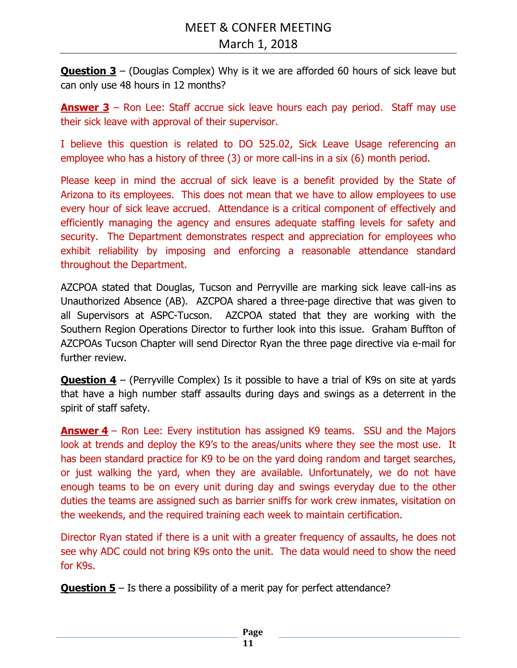**Question 3** – (Douglas Complex) Why is it we are afforded 60 hours of sick leave but can only use 48 hours in 12 months?

**Answer 3** – Ron Lee: Staff accrue sick leave hours each pay period. Staff may use their sick leave with approval of their supervisor.

I believe this question is related to DO 525.02, Sick Leave Usage referencing an employee who has a history of three (3) or more call-ins in a six (6) month period.

Please keep in mind the accrual of sick leave is a benefit provided by the State of Arizona to its employees. This does not mean that we have to allow employees to use every hour of sick leave accrued. Attendance is a critical component of effectively and efficiently managing the agency and ensures adequate staffing levels for safety and security. The Department demonstrates respect and appreciation for employees who exhibit reliability by imposing and enforcing a reasonable attendance standard throughout the Department.

AZCPOA stated that Douglas, Tucson and Perryville are marking sick leave call-ins as Unauthorized Absence (AB). AZCPOA shared a three-page directive that was given to all Supervisors at ASPC-Tucson. AZCPOA stated that they are working with the Southern Region Operations Director to further look into this issue. Graham Buffton of AZCPOAs Tucson Chapter will send Director Ryan the three page directive via e-mail for further review.

**Question 4** – (Perryville Complex) Is it possible to have a trial of K9s on site at yards that have a high number staff assaults during days and swings as a deterrent in the spirit of staff safety.

**Answer 4** – Ron Lee: Every institution has assigned K9 teams. SSU and the Majors look at trends and deploy the K9's to the areas/units where they see the most use. It has been standard practice for K9 to be on the yard doing random and target searches, or just walking the yard, when they are available. Unfortunately, we do not have enough teams to be on every unit during day and swings everyday due to the other duties the teams are assigned such as barrier sniffs for work crew inmates, visitation on the weekends, and the required training each week to maintain certification.

Director Ryan stated if there is a unit with a greater frequency of assaults, he does not see why ADC could not bring K9s onto the unit. The data would need to show the need for K9s.

**Question 5** – Is there a possibility of a merit pay for perfect attendance?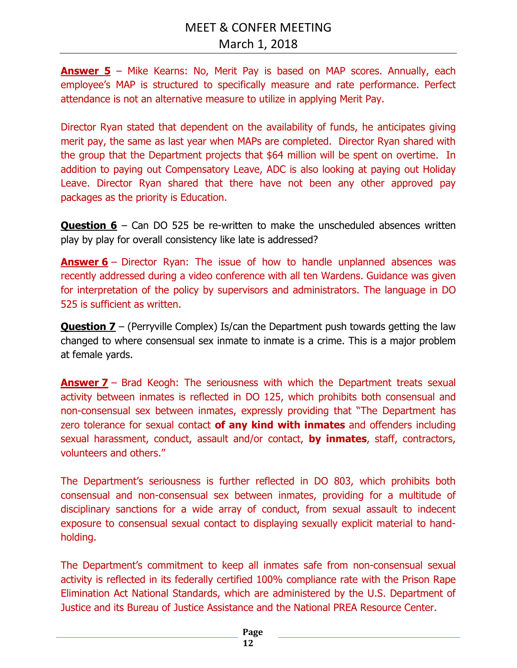**Answer 5** – Mike Kearns: No, Merit Pay is based on MAP scores. Annually, each employee's MAP is structured to specifically measure and rate performance. Perfect attendance is not an alternative measure to utilize in applying Merit Pay.

Director Ryan stated that dependent on the availability of funds, he anticipates giving merit pay, the same as last year when MAPs are completed. Director Ryan shared with the group that the Department projects that \$64 million will be spent on overtime. In addition to paying out Compensatory Leave, ADC is also looking at paying out Holiday Leave. Director Ryan shared that there have not been any other approved pay packages as the priority is Education.

**Question 6** – Can DO 525 be re-written to make the unscheduled absences written play by play for overall consistency like late is addressed?

**Answer 6** – Director Ryan: The issue of how to handle unplanned absences was recently addressed during a video conference with all ten Wardens. Guidance was given for interpretation of the policy by supervisors and administrators. The language in DO 525 is sufficient as written.

**Question 7** – (Perryville Complex) Is/can the Department push towards getting the law changed to where consensual sex inmate to inmate is a crime. This is a major problem at female yards.

**Answer 7** – Brad Keogh: The seriousness with which the Department treats sexual activity between inmates is reflected in DO 125, which prohibits both consensual and non-consensual sex between inmates, expressly providing that "The Department has zero tolerance for sexual contact **of any kind with inmates** and offenders including sexual harassment, conduct, assault and/or contact, **by inmates**, staff, contractors, volunteers and others."

The Department's seriousness is further reflected in DO 803, which prohibits both consensual and non-consensual sex between inmates, providing for a multitude of disciplinary sanctions for a wide array of conduct, from sexual assault to indecent exposure to consensual sexual contact to displaying sexually explicit material to handholding.

The Department's commitment to keep all inmates safe from non-consensual sexual activity is reflected in its federally certified 100% compliance rate with the Prison Rape Elimination Act National Standards, which are administered by the U.S. Department of Justice and its Bureau of Justice Assistance and the National PREA Resource Center.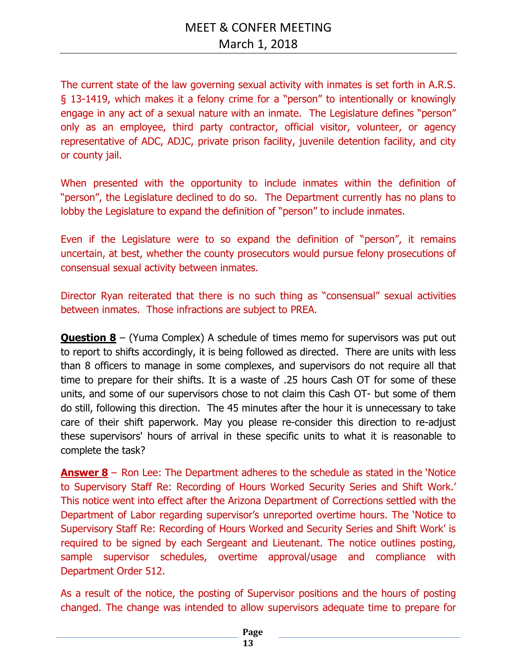The current state of the law governing sexual activity with inmates is set forth in A.R.S. § 13-1419, which makes it a felony crime for a "person" to intentionally or knowingly engage in any act of a sexual nature with an inmate. The Legislature defines "person" only as an employee, third party contractor, official visitor, volunteer, or agency representative of ADC, ADJC, private prison facility, juvenile detention facility, and city or county jail.

When presented with the opportunity to include inmates within the definition of "person", the Legislature declined to do so. The Department currently has no plans to lobby the Legislature to expand the definition of "person" to include inmates.

Even if the Legislature were to so expand the definition of "person", it remains uncertain, at best, whether the county prosecutors would pursue felony prosecutions of consensual sexual activity between inmates.

Director Ryan reiterated that there is no such thing as "consensual" sexual activities between inmates. Those infractions are subject to PREA.

**Question 8** – (Yuma Complex) A schedule of times memo for supervisors was put out to report to shifts accordingly, it is being followed as directed. There are units with less than 8 officers to manage in some complexes, and supervisors do not require all that time to prepare for their shifts. It is a waste of .25 hours Cash OT for some of these units, and some of our supervisors chose to not claim this Cash OT- but some of them do still, following this direction. The 45 minutes after the hour it is unnecessary to take care of their shift paperwork. May you please re-consider this direction to re-adjust these supervisors' hours of arrival in these specific units to what it is reasonable to complete the task?

**Answer 8** – Ron Lee: The Department adheres to the schedule as stated in the 'Notice to Supervisory Staff Re: Recording of Hours Worked Security Series and Shift Work.' This notice went into effect after the Arizona Department of Corrections settled with the Department of Labor regarding supervisor's unreported overtime hours. The 'Notice to Supervisory Staff Re: Recording of Hours Worked and Security Series and Shift Work' is required to be signed by each Sergeant and Lieutenant. The notice outlines posting, sample supervisor schedules, overtime approval/usage and compliance with Department Order 512.

As a result of the notice, the posting of Supervisor positions and the hours of posting changed. The change was intended to allow supervisors adequate time to prepare for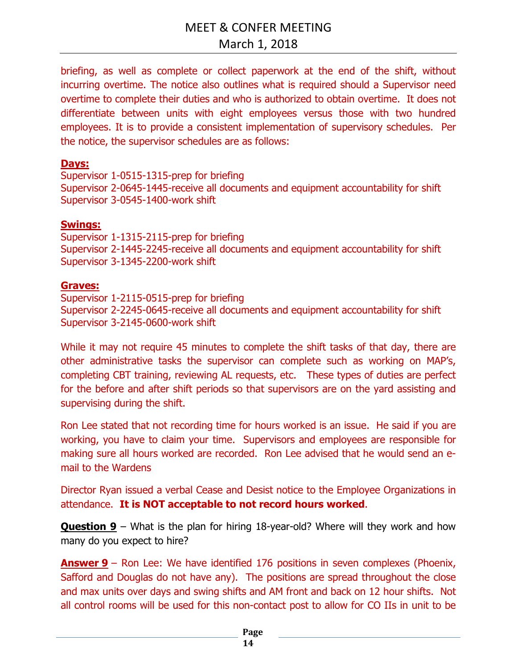briefing, as well as complete or collect paperwork at the end of the shift, without incurring overtime. The notice also outlines what is required should a Supervisor need overtime to complete their duties and who is authorized to obtain overtime. It does not differentiate between units with eight employees versus those with two hundred employees. It is to provide a consistent implementation of supervisory schedules. Per the notice, the supervisor schedules are as follows:

## **Days:**

Supervisor 1-0515-1315-prep for briefing Supervisor 2-0645-1445-receive all documents and equipment accountability for shift Supervisor 3-0545-1400-work shift

## **Swings:**

Supervisor 1-1315-2115-prep for briefing Supervisor 2-1445-2245-receive all documents and equipment accountability for shift Supervisor 3-1345-2200-work shift

# **Graves:**

Supervisor 1-2115-0515-prep for briefing Supervisor 2-2245-0645-receive all documents and equipment accountability for shift Supervisor 3-2145-0600-work shift

While it may not require 45 minutes to complete the shift tasks of that day, there are other administrative tasks the supervisor can complete such as working on MAP's, completing CBT training, reviewing AL requests, etc. These types of duties are perfect for the before and after shift periods so that supervisors are on the yard assisting and supervising during the shift.

Ron Lee stated that not recording time for hours worked is an issue. He said if you are working, you have to claim your time. Supervisors and employees are responsible for making sure all hours worked are recorded. Ron Lee advised that he would send an email to the Wardens

Director Ryan issued a verbal Cease and Desist notice to the Employee Organizations in attendance. **It is NOT acceptable to not record hours worked**.

**Question 9** – What is the plan for hiring 18-year-old? Where will they work and how many do you expect to hire?

**Answer 9** – Ron Lee: We have identified 176 positions in seven complexes (Phoenix, Safford and Douglas do not have any). The positions are spread throughout the close and max units over days and swing shifts and AM front and back on 12 hour shifts. Not all control rooms will be used for this non-contact post to allow for CO IIs in unit to be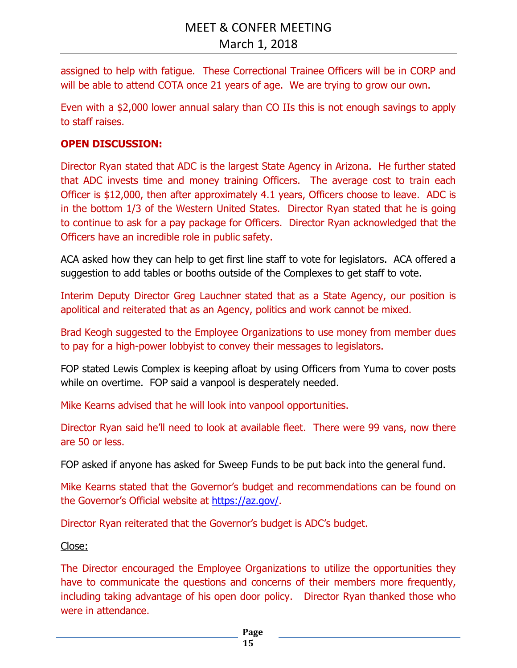assigned to help with fatigue. These Correctional Trainee Officers will be in CORP and will be able to attend COTA once 21 years of age. We are trying to grow our own.

Even with a \$2,000 lower annual salary than CO IIs this is not enough savings to apply to staff raises.

## **OPEN DISCUSSION:**

Director Ryan stated that ADC is the largest State Agency in Arizona. He further stated that ADC invests time and money training Officers. The average cost to train each Officer is \$12,000, then after approximately 4.1 years, Officers choose to leave. ADC is in the bottom 1/3 of the Western United States. Director Ryan stated that he is going to continue to ask for a pay package for Officers. Director Ryan acknowledged that the Officers have an incredible role in public safety.

ACA asked how they can help to get first line staff to vote for legislators. ACA offered a suggestion to add tables or booths outside of the Complexes to get staff to vote.

Interim Deputy Director Greg Lauchner stated that as a State Agency, our position is apolitical and reiterated that as an Agency, politics and work cannot be mixed.

Brad Keogh suggested to the Employee Organizations to use money from member dues to pay for a high-power lobbyist to convey their messages to legislators.

FOP stated Lewis Complex is keeping afloat by using Officers from Yuma to cover posts while on overtime. FOP said a vanpool is desperately needed.

Mike Kearns advised that he will look into vanpool opportunities.

Director Ryan said he'll need to look at available fleet. There were 99 vans, now there are 50 or less.

FOP asked if anyone has asked for Sweep Funds to be put back into the general fund.

Mike Kearns stated that the Governor's budget and recommendations can be found on the Governor's Official website at https://az.gov/.

Director Ryan reiterated that the Governor's budget is ADC's budget.

### Close:

The Director encouraged the Employee Organizations to utilize the opportunities they have to communicate the questions and concerns of their members more frequently, including taking advantage of his open door policy. Director Ryan thanked those who were in attendance.